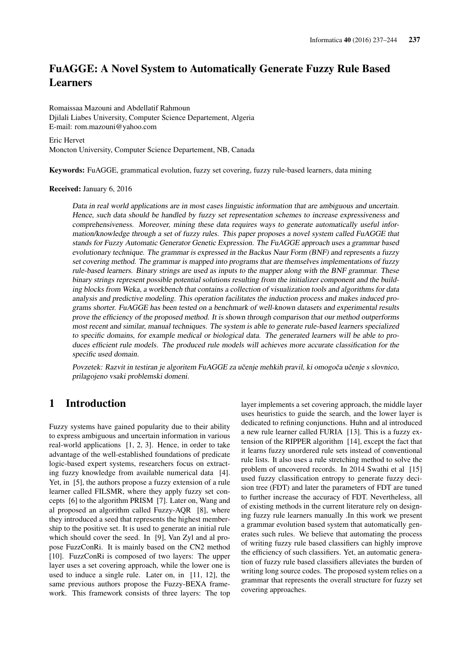# FuAGGE: A Novel System to Automatically Generate Fuzzy Rule Based **Learners**

Romaissaa Mazouni and Abdellatif Rahmoun Djilali Liabes University, Computer Science Departement, Algeria E-mail: rom.mazouni@yahoo.com

Eric Hervet Moncton University, Computer Science Departement, NB, Canada

Keywords: FuAGGE, grammatical evolution, fuzzy set covering, fuzzy rule-based learners, data mining

#### Received: January 6, 2016

Data in real world applications are in most cases linguistic information that are ambiguous and uncertain. Hence, such data should be handled by fuzzy set representation schemes to increase expressiveness and comprehensiveness. Moreover, mining these data requires ways to generate automatically useful information/knowledge through a set of fuzzy rules. This paper proposes a novel system called FuAGGE that stands for Fuzzy Automatic Generator Genetic Expression. The FuAGGE approach uses a grammar based evolutionary technique. The grammar is expressed in the Backus Naur Form (BNF) and represents a fuzzy set covering method. The grammar is mapped into programs that are themselves implementations of fuzzy rule-based learners. Binary strings are used as inputs to the mapper along with the BNF grammar. These binary strings represent possible potential solutions resulting from the initializer component and the building blocks from Weka, a workbench that contains a collection of visualization tools and algorithms for data analysis and predictive modeling. This operation facilitates the induction process and makes induced programs shorter. FuAGGE has been tested on a benchmark of well-known datasets and experimental results prove the efficiency of the proposed method. It is shown through comparison that our method outperforms most recent and similar, manual techniques. The system is able to generate rule-based learners specialized to specific domains, for example medical or biological data. The generated learners will be able to produces efficient rule models. The produced rule models will achieves more accurate classification for the specific used domain.

Povzetek: Razvit in testiran je algoritem FuAGGE za učenje mehkih pravil, ki omogoča učenje s slovnico, prilagojeno vsaki problemski domeni.

## 1 Introduction

Fuzzy systems have gained popularity due to their ability to express ambiguous and uncertain information in various real-world applications [1, 2, 3]. Hence, in order to take advantage of the well-established foundations of predicate logic-based expert systems, researchers focus on extracting fuzzy knowledge from available numerical data [4]. Yet, in [5], the authors propose a fuzzy extension of a rule learner called FILSMR, where they apply fuzzy set concepts [6] to the algorithm PRISM [7]. Later on, Wang and al proposed an algorithm called Fuzzy-AQR [8], where they introduced a seed that represents the highest membership to the positive set. It is used to generate an initial rule which should cover the seed. In [9], Van Zyl and al propose FuzzConRi. It is mainly based on the CN2 method [10]. FuzzConRi is composed of two layers: The upper layer uses a set covering approach, while the lower one is used to induce a single rule. Later on, in [11, 12], the same previous authors propose the Fuzzy-BEXA framework. This framework consists of three layers: The top

layer implements a set covering approach, the middle layer uses heuristics to guide the search, and the lower layer is dedicated to refining conjunctions. Huhn and al introduced a new rule learner called FURIA [13]. This is a fuzzy extension of the RIPPER algorithm [14], except the fact that it learns fuzzy unordered rule sets instead of conventional rule lists. It also uses a rule stretching method to solve the problem of uncovered records. In 2014 Swathi et al [15] used fuzzy classification entropy to generate fuzzy decision tree (FDT) and later the parameters of FDT are tuned to further increase the accuracy of FDT. Nevertheless, all of existing methods in the current literature rely on designing fuzzy rule learners manually .In this work we present a grammar evolution based system that automatically generates such rules. We believe that automating the process of writing fuzzy rule based classifiers can highly improve the efficiency of such classifiers. Yet, an automatic generation of fuzzy rule based classifiers alleviates the burden of writing long source codes. The proposed system relies on a grammar that represents the overall structure for fuzzy set covering approaches.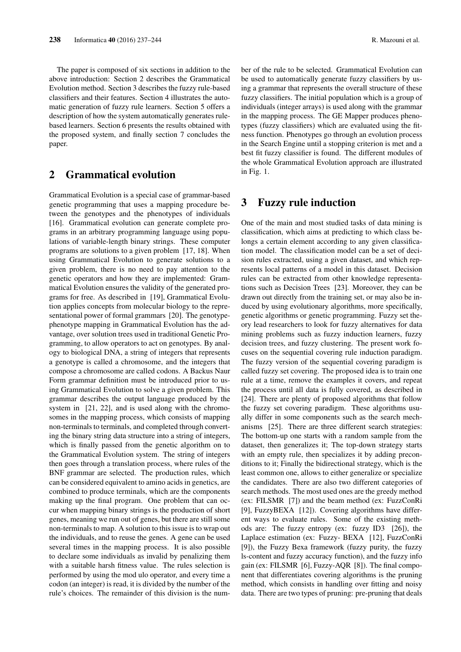The paper is composed of six sections in addition to the above introduction: Section 2 describes the Grammatical Evolution method. Section 3 describes the fuzzy rule-based classifiers and their features. Section 4 illustrates the automatic generation of fuzzy rule learners. Section 5 offers a description of how the system automatically generates rulebased learners. Section 6 presents the results obtained with the proposed system, and finally section 7 concludes the paper.

## 2 Grammatical evolution

Grammatical Evolution is a special case of grammar-based genetic programming that uses a mapping procedure between the genotypes and the phenotypes of individuals [16]. Grammatical evolution can generate complete programs in an arbitrary programming language using populations of variable-length binary strings. These computer programs are solutions to a given problem [17, 18]. When using Grammatical Evolution to generate solutions to a given problem, there is no need to pay attention to the genetic operators and how they are implemented: Grammatical Evolution ensures the validity of the generated programs for free. As described in [19], Grammatical Evolution applies concepts from molecular biology to the representational power of formal grammars [20]. The genotypephenotype mapping in Grammatical Evolution has the advantage, over solution trees used in traditional Genetic Programming, to allow operators to act on genotypes. By analogy to biological DNA, a string of integers that represents a genotype is called a chromosome, and the integers that compose a chromosome are called codons. A Backus Naur Form grammar definition must be introduced prior to using Grammatical Evolution to solve a given problem. This grammar describes the output language produced by the system in [21, 22], and is used along with the chromosomes in the mapping process, which consists of mapping non-terminals to terminals, and completed through converting the binary string data structure into a string of integers, which is finally passed from the genetic algorithm on to the Grammatical Evolution system. The string of integers then goes through a translation process, where rules of the BNF grammar are selected. The production rules, which can be considered equivalent to amino acids in genetics, are combined to produce terminals, which are the components making up the final program. One problem that can occur when mapping binary strings is the production of short genes, meaning we run out of genes, but there are still some non-terminals to map. A solution to this issue is to wrap out the individuals, and to reuse the genes. A gene can be used several times in the mapping process. It is also possible to declare some individuals as invalid by penalizing them with a suitable harsh fitness value. The rules selection is performed by using the mod ulo operator, and every time a codon (an integer) is read, it is divided by the number of the rule's choices. The remainder of this division is the number of the rule to be selected. Grammatical Evolution can be used to automatically generate fuzzy classifiers by using a grammar that represents the overall structure of these fuzzy classifiers. The initial population which is a group of individuals (integer arrays) is used along with the grammar in the mapping process. The GE Mapper produces phenotypes (fuzzy classifiers) which are evaluated using the fitness function. Phenotypes go through an evolution process in the Search Engine until a stopping criterion is met and a best fit fuzzy classifier is found. The different modules of the whole Grammatical Evolution approach are illustrated in Fig. 1.

## 3 Fuzzy rule induction

One of the main and most studied tasks of data mining is classification, which aims at predicting to which class belongs a certain element according to any given classification model. The classification model can be a set of decision rules extracted, using a given dataset, and which represents local patterns of a model in this dataset. Decision rules can be extracted from other knowledge representations such as Decision Trees [23]. Moreover, they can be drawn out directly from the training set, or may also be induced by using evolutionary algorithms, more specifically, genetic algorithms or genetic programming. Fuzzy set theory lead researchers to look for fuzzy alternatives for data mining problems such as fuzzy induction learners, fuzzy decision trees, and fuzzy clustering. The present work focuses on the sequential covering rule induction paradigm. The fuzzy version of the sequential covering paradigm is called fuzzy set covering. The proposed idea is to train one rule at a time, remove the examples it covers, and repeat the process until all data is fully covered, as described in [24]. There are plenty of proposed algorithms that follow the fuzzy set covering paradigm. These algorithms usually differ in some components such as the search mechanisms [25]. There are three different search strategies: The bottom-up one starts with a random sample from the dataset, then generalizes it; The top-down strategy starts with an empty rule, then specializes it by adding preconditions to it; Finally the bidirectional strategy, which is the least common one, allows to either generalize or specialize the candidates. There are also two different categories of search methods. The most used ones are the greedy method (ex: FILSMR [7]) and the beam method (ex: FuzzConRi [9], FuzzyBEXA [12]). Covering algorithms have different ways to evaluate rules. Some of the existing methods are: The fuzzy entropy (ex: fuzzy ID3 [26]), the Laplace estimation (ex: Fuzzy- BEXA [12], FuzzConRi [9]), the Fuzzy Bexa framework (fuzzy purity, the fuzzy ls-content and fuzzy accuracy function), and the fuzzy info gain (ex: FILSMR [6], Fuzzy-AQR [8]). The final component that differentiates covering algorithms is the pruning method, which consists in handling over fitting and noisy data. There are two types of pruning: pre-pruning that deals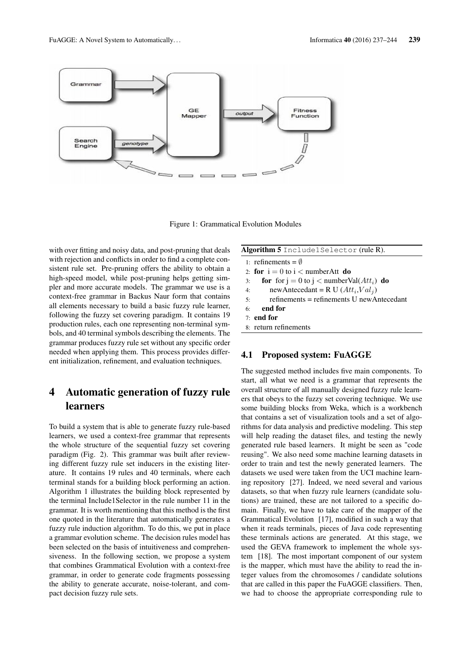

Figure 1: Grammatical Evolution Modules

with over fitting and noisy data, and post-pruning that deals with rejection and conflicts in order to find a complete consistent rule set. Pre-pruning offers the ability to obtain a high-speed model, while post-pruning helps getting simpler and more accurate models. The grammar we use is a context-free grammar in Backus Naur form that contains all elements necessary to build a basic fuzzy rule learner, following the fuzzy set covering paradigm. It contains 19 production rules, each one representing non-terminal symbols, and 40 terminal symbols describing the elements. The grammar produces fuzzy rule set without any specific order needed when applying them. This process provides different initialization, refinement, and evaluation techniques.

## 4 Automatic generation of fuzzy rule learners

To build a system that is able to generate fuzzy rule-based learners, we used a context-free grammar that represents the whole structure of the sequential fuzzy set covering paradigm (Fig. 2). This grammar was built after reviewing different fuzzy rule set inducers in the existing literature. It contains 19 rules and 40 terminals, where each terminal stands for a building block performing an action. Algorithm 1 illustrates the building block represented by the terminal Include1Selector in the rule number 11 in the grammar. It is worth mentioning that this method is the first one quoted in the literature that automatically generates a fuzzy rule induction algorithm. To do this, we put in place a grammar evolution scheme. The decision rules model has been selected on the basis of intuitiveness and comprehensiveness. In the following section, we propose a system that combines Grammatical Evolution with a context-free grammar, in order to generate code fragments possessing the ability to generate accurate, noise-tolerant, and compact decision fuzzy rule sets.

| Algorithm 5 Include1Selector (rule R). |  |
|----------------------------------------|--|
|                                        |  |

- 1: refinements =  $\emptyset$
- 2: for  $i = 0$  to  $i <$  numberAtt do 3: for for  $j = 0$  to  $j <$  numberVal( $Att_i$ ) do 4: newAntecedant = R U  $(Att_i, Val_j)$ 5: refinements = refinements U newAntecedant 6: end for 7: end for 8: return refinements

#### 4.1 Proposed system: FuAGGE

The suggested method includes five main components. To start, all what we need is a grammar that represents the overall structure of all manually designed fuzzy rule learners that obeys to the fuzzy set covering technique. We use some building blocks from Weka, which is a workbench that contains a set of visualization tools and a set of algorithms for data analysis and predictive modeling. This step will help reading the dataset files, and testing the newly generated rule based learners. It might be seen as "code reusing". We also need some machine learning datasets in order to train and test the newly generated learners. The datasets we used were taken from the UCI machine learning repository [27]. Indeed, we need several and various datasets, so that when fuzzy rule learners (candidate solutions) are trained, these are not tailored to a specific domain. Finally, we have to take care of the mapper of the Grammatical Evolution [17], modified in such a way that when it reads terminals, pieces of Java code representing these terminals actions are generated. At this stage, we used the GEVA framework to implement the whole system [18]. The most important component of our system is the mapper, which must have the ability to read the integer values from the chromosomes / candidate solutions that are called in this paper the FuAGGE classifiers. Then, we had to choose the appropriate corresponding rule to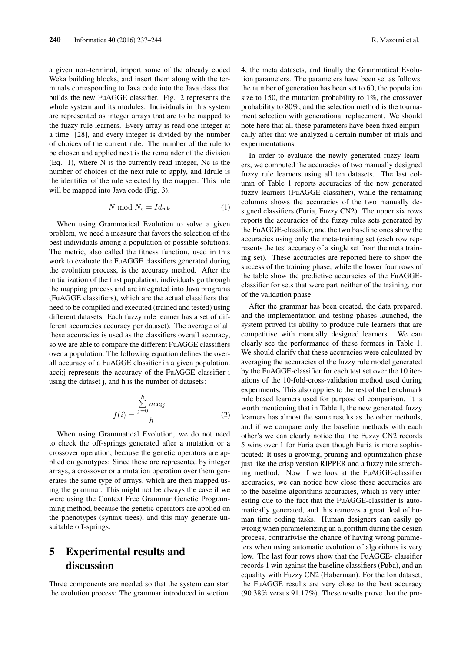a given non-terminal, import some of the already coded Weka building blocks, and insert them along with the terminals corresponding to Java code into the Java class that builds the new FuAGGE classifier. Fig. 2 represents the whole system and its modules. Individuals in this system are represented as integer arrays that are to be mapped to the fuzzy rule learners. Every array is read one integer at a time [28], and every integer is divided by the number of choices of the current rule. The number of the rule to be chosen and applied next is the remainder of the division (Eq. 1), where N is the currently read integer, Nc is the number of choices of the next rule to apply, and Idrule is the identifier of the rule selected by the mapper. This rule will be mapped into Java code (Fig. 3).

$$
N \bmod N_c = Id_{\text{rule}} \tag{1}
$$

When using Grammatical Evolution to solve a given problem, we need a measure that favors the selection of the best individuals among a population of possible solutions. The metric, also called the fitness function, used in this work to evaluate the FuAGGE classifiers generated during the evolution process, is the accuracy method. After the initialization of the first population, individuals go through the mapping process and are integrated into Java programs (FuAGGE classifiers), which are the actual classifiers that need to be compiled and executed (trained and tested) using different datasets. Each fuzzy rule learner has a set of different accuracies accuracy per dataset). The average of all these accuracies is used as the classifiers overall accuracy, so we are able to compare the different FuAGGE classifiers over a population. The following equation defines the overall accuracy of a FuAGGE classifier in a given population. acci;j represents the accuracy of the FuAGGE classifier i using the dataset j, and h is the number of datasets:

$$
f(i) = \frac{\sum_{j=0}^{h} acc_{ij}}{h}
$$
 (2)

When using Grammatical Evolution, we do not need to check the off-springs generated after a mutation or a crossover operation, because the genetic operators are applied on genotypes: Since these are represented by integer arrays, a crossover or a mutation operation over them generates the same type of arrays, which are then mapped using the grammar. This might not be always the case if we were using the Context Free Grammar Genetic Programming method, because the genetic operators are applied on the phenotypes (syntax trees), and this may generate unsuitable off-springs.

## 5 Experimental results and discussion

Three components are needed so that the system can start the evolution process: The grammar introduced in section. 4, the meta datasets, and finally the Grammatical Evolution parameters. The parameters have been set as follows: the number of generation has been set to 60, the population size to 150, the mutation probability to 1%, the crossover probability to 80%, and the selection method is the tournament selection with generational replacement. We should note here that all these parameters have been fixed empirically after that we analyzed a certain number of trials and experimentations.

In order to evaluate the newly generated fuzzy learners, we computed the accuracies of two manually designed fuzzy rule learners using all ten datasets. The last column of Table 1 reports accuracies of the new generated fuzzy learners (FuAGGE classifier), while the remaining columns shows the accuracies of the two manually designed classifiers (Furia, Fuzzy CN2). The upper six rows reports the accuracies of the fuzzy rules sets generated by the FuAGGE-classifier, and the two baseline ones show the accuracies using only the meta-training set (each row represents the test accuracy of a single set from the meta training set). These accuracies are reported here to show the success of the training phase, while the lower four rows of the table show the predictive accuracies of the FuAGGEclassifier for sets that were part neither of the training, nor of the validation phase.

After the grammar has been created, the data prepared, and the implementation and testing phases launched, the system proved its ability to produce rule learners that are competitive with manually designed learners. We can clearly see the performance of these formers in Table 1. We should clarify that these accuracies were calculated by averaging the accuracies of the fuzzy rule model generated by the FuAGGE-classifier for each test set over the 10 iterations of the 10-fold-cross-validation method used during experiments. This also applies to the rest of the benchmark rule based learners used for purpose of comparison. It is worth mentioning that in Table 1, the new generated fuzzy learners has almost the same results as the other methods, and if we compare only the baseline methods with each other's we can clearly notice that the Fuzzy CN2 records 5 wins over 1 for Furia even though Furia is more sophisticated: It uses a growing, pruning and optimization phase just like the crisp version RIPPER and a fuzzy rule stretching method. Now if we look at the FuAGGE-classifier accuracies, we can notice how close these accuracies are to the baseline algorithms accuracies, which is very interesting due to the fact that the FuAGGE-classifier is automatically generated, and this removes a great deal of human time coding tasks. Human designers can easily go wrong when parameterizing an algorithm during the design process, contrariwise the chance of having wrong parameters when using automatic evolution of algorithms is very low. The last four rows show that the FuAGGE- classifier records 1 win against the baseline classifiers (Puba), and an equality with Fuzzy CN2 (Haberman). For the Ion dataset, the FuAGGE results are very close to the best accuracy (90.38% versus 91.17%). These results prove that the pro-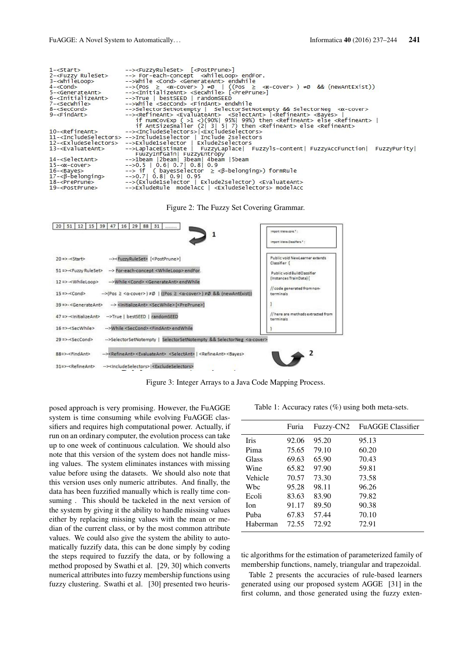| -->While <cond> <generateant> endwhile<br/><math>3 - \le</math>whileLoop&gt;<br/><math>\left(-&amp;-&amp;-&amp;\right(</math>Pos <math>\geq &lt; \alpha</math>-cover&gt; <math>\right) \neq 0</math>   ((Pos <math>\geq &lt; \alpha</math>-cover&gt; ) <math>\neq 0</math> &amp;&amp; (newAntExist))<br/><math>4 - \leq</math>cond<math>&gt;</math><br/>--&gt;<initializeant> <secwhile> [<preprune>]<br/><math>5 - &lt;</math>GenerateAnt<math>&gt;</math><br/><math>6 -</math><initializeant><br/>--&gt;True   bestSEED   randomSEED<br/><math>7 - &lt;</math>SecWhile<math>&gt;</math><br/>--&gt;While <seccond> <findant> endWhile<br/>--&gt;SelectorSetNotempty   SelectorSetNotempty &amp;&amp; SelectorNeg <a-cover><br/>8-<seccond><br/>--&gt;<refineant> <evaluateant> <selectant>  <refineant> <bayes>  <br/><math>9 - &lt;</math>FindAnt<math>&gt;</math><br/>if numCovExp (<math>&gt;1</math> &lt;)(90%  95%  99%) then <refineant> else <refineant>  <br/>if Antsizesmaller (2  3  5  7) then <refineant> else <refineant><br/>10-<refineant> --&gt;<includeselectors> <excludeselectors><br/>11-<includeselectors> --&gt;Include1selector   Include 2selectors<br/>12-<exludeselectors> --&gt;Exlude1selector   Exlude2selectors<br/>--&gt;LaplaceEstimate   FuzzyLaplace  Fuzzyls-content  FuzzyAccFunction  FuzzyPurity <br/><math>13 - \leq</math>EvaluateAnt&gt;<br/>FuuzyInfGain  FuzzyEntropy</exludeselectors></includeselectors></excludeselectors></includeselectors></refineant></refineant></refineant></refineant></refineant></bayes></refineant></selectant></evaluateant></refineant></seccond></a-cover></findant></seccond></initializeant></preprune></secwhile></initializeant></generateant></cond> | $1 - <$ Start $>$             | --> <fuzzyruleset> [<postprune>]</postprune></fuzzyruleset> |
|---------------------------------------------------------------------------------------------------------------------------------------------------------------------------------------------------------------------------------------------------------------------------------------------------------------------------------------------------------------------------------------------------------------------------------------------------------------------------------------------------------------------------------------------------------------------------------------------------------------------------------------------------------------------------------------------------------------------------------------------------------------------------------------------------------------------------------------------------------------------------------------------------------------------------------------------------------------------------------------------------------------------------------------------------------------------------------------------------------------------------------------------------------------------------------------------------------------------------------------------------------------------------------------------------------------------------------------------------------------------------------------------------------------------------------------------------------------------------------------------------------------------------------------------------------------------------------------------------------------------------------------------------------------------------------------------------------------------------------------|-------------------------------|-------------------------------------------------------------|
|                                                                                                                                                                                                                                                                                                                                                                                                                                                                                                                                                                                                                                                                                                                                                                                                                                                                                                                                                                                                                                                                                                                                                                                                                                                                                                                                                                                                                                                                                                                                                                                                                                                                                                                                       | 2- <fuzzy ruleset=""></fuzzy> | --> For-each-concept <whileloop> endFor.</whileloop>        |
|                                                                                                                                                                                                                                                                                                                                                                                                                                                                                                                                                                                                                                                                                                                                                                                                                                                                                                                                                                                                                                                                                                                                                                                                                                                                                                                                                                                                                                                                                                                                                                                                                                                                                                                                       |                               |                                                             |
|                                                                                                                                                                                                                                                                                                                                                                                                                                                                                                                                                                                                                                                                                                                                                                                                                                                                                                                                                                                                                                                                                                                                                                                                                                                                                                                                                                                                                                                                                                                                                                                                                                                                                                                                       |                               |                                                             |
|                                                                                                                                                                                                                                                                                                                                                                                                                                                                                                                                                                                                                                                                                                                                                                                                                                                                                                                                                                                                                                                                                                                                                                                                                                                                                                                                                                                                                                                                                                                                                                                                                                                                                                                                       |                               |                                                             |
|                                                                                                                                                                                                                                                                                                                                                                                                                                                                                                                                                                                                                                                                                                                                                                                                                                                                                                                                                                                                                                                                                                                                                                                                                                                                                                                                                                                                                                                                                                                                                                                                                                                                                                                                       |                               |                                                             |
|                                                                                                                                                                                                                                                                                                                                                                                                                                                                                                                                                                                                                                                                                                                                                                                                                                                                                                                                                                                                                                                                                                                                                                                                                                                                                                                                                                                                                                                                                                                                                                                                                                                                                                                                       |                               |                                                             |
|                                                                                                                                                                                                                                                                                                                                                                                                                                                                                                                                                                                                                                                                                                                                                                                                                                                                                                                                                                                                                                                                                                                                                                                                                                                                                                                                                                                                                                                                                                                                                                                                                                                                                                                                       |                               |                                                             |
|                                                                                                                                                                                                                                                                                                                                                                                                                                                                                                                                                                                                                                                                                                                                                                                                                                                                                                                                                                                                                                                                                                                                                                                                                                                                                                                                                                                                                                                                                                                                                                                                                                                                                                                                       |                               |                                                             |
|                                                                                                                                                                                                                                                                                                                                                                                                                                                                                                                                                                                                                                                                                                                                                                                                                                                                                                                                                                                                                                                                                                                                                                                                                                                                                                                                                                                                                                                                                                                                                                                                                                                                                                                                       |                               |                                                             |
|                                                                                                                                                                                                                                                                                                                                                                                                                                                                                                                                                                                                                                                                                                                                                                                                                                                                                                                                                                                                                                                                                                                                                                                                                                                                                                                                                                                                                                                                                                                                                                                                                                                                                                                                       |                               |                                                             |
|                                                                                                                                                                                                                                                                                                                                                                                                                                                                                                                                                                                                                                                                                                                                                                                                                                                                                                                                                                                                                                                                                                                                                                                                                                                                                                                                                                                                                                                                                                                                                                                                                                                                                                                                       |                               |                                                             |
|                                                                                                                                                                                                                                                                                                                                                                                                                                                                                                                                                                                                                                                                                                                                                                                                                                                                                                                                                                                                                                                                                                                                                                                                                                                                                                                                                                                                                                                                                                                                                                                                                                                                                                                                       |                               |                                                             |
|                                                                                                                                                                                                                                                                                                                                                                                                                                                                                                                                                                                                                                                                                                                                                                                                                                                                                                                                                                                                                                                                                                                                                                                                                                                                                                                                                                                                                                                                                                                                                                                                                                                                                                                                       |                               |                                                             |
|                                                                                                                                                                                                                                                                                                                                                                                                                                                                                                                                                                                                                                                                                                                                                                                                                                                                                                                                                                                                                                                                                                                                                                                                                                                                                                                                                                                                                                                                                                                                                                                                                                                                                                                                       |                               |                                                             |
|                                                                                                                                                                                                                                                                                                                                                                                                                                                                                                                                                                                                                                                                                                                                                                                                                                                                                                                                                                                                                                                                                                                                                                                                                                                                                                                                                                                                                                                                                                                                                                                                                                                                                                                                       |                               |                                                             |
|                                                                                                                                                                                                                                                                                                                                                                                                                                                                                                                                                                                                                                                                                                                                                                                                                                                                                                                                                                                                                                                                                                                                                                                                                                                                                                                                                                                                                                                                                                                                                                                                                                                                                                                                       | $14 - 5e lectant$             | -->1beam  2beam  3beam  4beam  5beam                        |
| $-5$ , 5   0.6   0.7   0.8   0.9<br>$15 - \alpha-cover>$                                                                                                                                                                                                                                                                                                                                                                                                                                                                                                                                                                                                                                                                                                                                                                                                                                                                                                                                                                                                                                                                                                                                                                                                                                                                                                                                                                                                                                                                                                                                                                                                                                                                              |                               |                                                             |
| $\rightarrow$ if (bayes Selector $\ge$ < $\beta$ -belonging>) form Rule<br>$16 - Bayes$                                                                                                                                                                                                                                                                                                                                                                                                                                                                                                                                                                                                                                                                                                                                                                                                                                                                                                                                                                                                                                                                                                                                                                                                                                                                                                                                                                                                                                                                                                                                                                                                                                               |                               |                                                             |
| $17 - < \beta$ -belonging<br>$-50.7$ 0.8 0.9 0.95                                                                                                                                                                                                                                                                                                                                                                                                                                                                                                                                                                                                                                                                                                                                                                                                                                                                                                                                                                                                                                                                                                                                                                                                                                                                                                                                                                                                                                                                                                                                                                                                                                                                                     |                               |                                                             |
| -->(Exlude1selector   Exlude2selector) <evaluateant><br/><math>18 - <p< math="">rePrune&gt;</p<></math></evaluateant>                                                                                                                                                                                                                                                                                                                                                                                                                                                                                                                                                                                                                                                                                                                                                                                                                                                                                                                                                                                                                                                                                                                                                                                                                                                                                                                                                                                                                                                                                                                                                                                                                 |                               |                                                             |
| -->ExludeRule modelAcc   <exludeselectors> modelAcc<br/><math>19 - &lt;</math>PostPrune&gt;</exludeselectors>                                                                                                                                                                                                                                                                                                                                                                                                                                                                                                                                                                                                                                                                                                                                                                                                                                                                                                                                                                                                                                                                                                                                                                                                                                                                                                                                                                                                                                                                                                                                                                                                                         |                               |                                                             |

Figure 2: The Fuzzy Set Covering Grammar.



Figure 3: Integer Arrays to a Java Code Mapping Process.

posed approach is very promising. However, the FuAGGE system is time consuming while evolving FuAGGE classifiers and requires high computational power. Actually, if run on an ordinary computer, the evolution process can take up to one week of continuous calculation. We should also note that this version of the system does not handle missing values. The system eliminates instances with missing value before using the datasets. We should also note that this version uses only numeric attributes. And finally, the data has been fuzzified manually which is really time consuming . This should be tackeled in the next version of the system by giving it the ability to handle missing values either by replacing missing values with the mean or median of the current class, or by the most common attribute values. We could also give the system the ability to automatically fuzzify data, this can be done simply by coding the steps required to fuzzify the data, or by following a method proposed by Swathi et al. [29, 30] which converts numerical attributes into fuzzy membership functions using fuzzy clustering. Swathi et al. [30] presented two heuris-

Table 1: Accuracy rates (%) using both meta-sets.

|             | Furia | Fuzzy-CN2 | <b>FuAGGE Classifier</b> |
|-------------|-------|-----------|--------------------------|
| <b>Iris</b> | 92.06 | 95.20     | 95.13                    |
| Pima        | 75.65 | 79.10     | 60.20                    |
| Glass       | 69.63 | 65.90     | 70.43                    |
| Wine        | 65.82 | 97.90     | 59.81                    |
| Vehicle     | 70.57 | 73.30     | 73.58                    |
| Wbc         | 95.28 | 98.11     | 96.26                    |
| Ecoli       | 83.63 | 83.90     | 79.82                    |
| <b>Ion</b>  | 91.17 | 89.50     | 90.38                    |
| Puba        | 67.83 | 57.44     | 70.10                    |
| Haberman    | 72.55 | 72.92     | 72.91                    |

tic algorithms for the estimation of parameterized family of membership functions, namely, triangular and trapezoidal.

Table 2 presents the accuracies of rule-based learners generated using our proposed system AGGE [31] in the first column, and those generated using the fuzzy exten-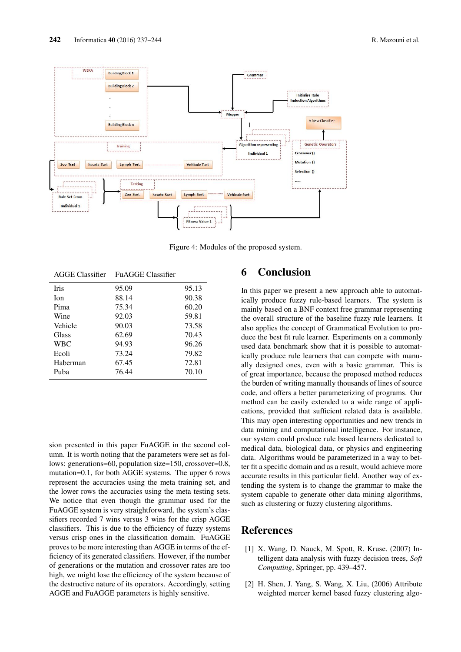

Figure 4: Modules of the proposed system.

| AGGE Classifier | <b>FuAGGE Classifier</b> |       |
|-----------------|--------------------------|-------|
| <b>Iris</b>     | 95.09                    | 95.13 |
| <b>Ion</b>      | 88.14                    | 90.38 |
| Pima            | 75.34                    | 60.20 |
| Wine            | 92.03                    | 59.81 |
| Vehicle         | 90.03                    | 73.58 |
| Glass           | 62.69                    | 70.43 |
| <b>WBC</b>      | 94.93                    | 96.26 |
| Ecoli           | 73.24                    | 79.82 |
| Haberman        | 67.45                    | 72.81 |
| Puba            | 76.44                    | 70.10 |

sion presented in this paper FuAGGE in the second column. It is worth noting that the parameters were set as follows: generations=60, population size=150, crossover=0.8, mutation=0.1, for both AGGE systems. The upper 6 rows represent the accuracies using the meta training set, and the lower rows the accuracies using the meta testing sets. We notice that even though the grammar used for the FuAGGE system is very straightforward, the system's classifiers recorded 7 wins versus 3 wins for the crisp AGGE classifiers. This is due to the efficiency of fuzzy systems versus crisp ones in the classification domain. FuAGGE proves to be more interesting than AGGE in terms of the efficiency of its generated classifiers. However, if the number of generations or the mutation and crossover rates are too high, we might lose the efficiency of the system because of the destructive nature of its operators. Accordingly, setting AGGE and FuAGGE parameters is highly sensitive.

### 6 Conclusion

In this paper we present a new approach able to automatically produce fuzzy rule-based learners. The system is mainly based on a BNF context free grammar representing the overall structure of the baseline fuzzy rule learners. It also applies the concept of Grammatical Evolution to produce the best fit rule learner. Experiments on a commonly used data benchmark show that it is possible to automatically produce rule learners that can compete with manually designed ones, even with a basic grammar. This is of great importance, because the proposed method reduces the burden of writing manually thousands of lines of source code, and offers a better parameterizing of programs. Our method can be easily extended to a wide range of applications, provided that sufficient related data is available. This may open interesting opportunities and new trends in data mining and computational intelligence. For instance, our system could produce rule based learners dedicated to medical data, biological data, or physics and engineering data. Algorithms would be parameterized in a way to better fit a specific domain and as a result, would achieve more accurate results in this particular field. Another way of extending the system is to change the grammar to make the system capable to generate other data mining algorithms, such as clustering or fuzzy clustering algorithms.

#### References

- [1] X. Wang, D. Nauck, M. Spott, R. Kruse. (2007) Intelligent data analysis with fuzzy decision trees, *Soft Computing*, Springer, pp. 439–457.
- [2] H. Shen, J. Yang, S. Wang, X. Liu, (2006) Attribute weighted mercer kernel based fuzzy clustering algo-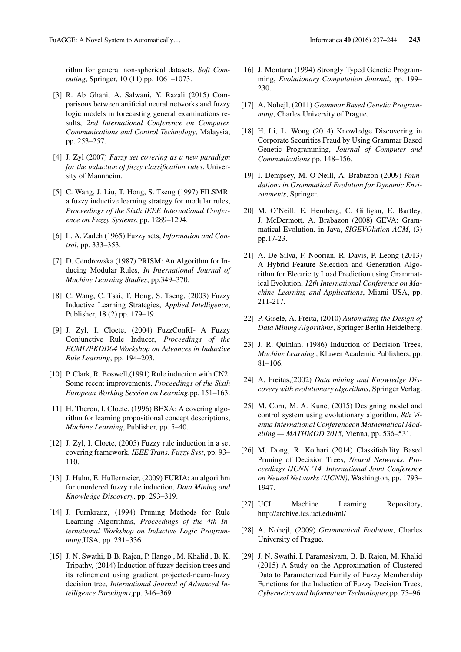rithm for general non-spherical datasets, *Soft Computing*, Springer, 10 (11) pp. 1061–1073.

- [3] R. Ab Ghani, A. Salwani, Y. Razali (2015) Comparisons between artificial neural networks and fuzzy logic models in forecasting general examinations results, *2nd International Conference on Computer, Communications and Control Technology*, Malaysia, pp. 253–257.
- [4] J. Zyl (2007) *Fuzzy set covering as a new paradigm for the induction of fuzzy classification rules*, University of Mannheim.
- [5] C. Wang, J. Liu, T. Hong, S. Tseng (1997) FILSMR: a fuzzy inductive learning strategy for modular rules, *Proceedings of the Sixth IEEE International Conference on Fuzzy Systems*, pp. 1289–1294.
- [6] L. A. Zadeh (1965) Fuzzy sets, *Information and Control*, pp. 333–353.
- [7] D. Cendrowska (1987) PRISM: An Algorithm for Inducing Modular Rules, *In International Journal of Machine Learning Studies*, pp.349–370.
- [8] C. Wang, C. Tsai, T. Hong, S. Tseng, (2003) Fuzzy Inductive Learning Strategies, *Applied Intelligence*, Publisher, 18 (2) pp. 179–19.
- [9] J. Zyl, I. Cloete, (2004) FuzzConRI- A Fuzzy Conjunctive Rule Inducer, *Proceedings of the ECML/PKDD04 Workshop on Advances in Inductive Rule Learning*, pp. 194–203.
- [10] P. Clark, R. Boswell,(1991) Rule induction with CN2: Some recent improvements, *Proceedings of the Sixth European Working Session on Learning*,pp. 151–163.
- [11] H. Theron, I. Cloete, (1996) BEXA: A covering algorithm for learning propositional concept descriptions, *Machine Learning*, Publisher, pp. 5–40.
- [12] J. Zyl, I. Cloete, (2005) Fuzzy rule induction in a set covering framework, *IEEE Trans. Fuzzy Syst*, pp. 93– 110.
- [13] J. Huhn, E. Hullermeier, (2009) FURIA: an algorithm for unordered fuzzy rule induction, *Data Mining and Knowledge Discovery*, pp. 293–319.
- [14] J. Furnkranz, (1994) Pruning Methods for Rule Learning Algorithms, *Proceedings of the 4th International Workshop on Inductive Logic Programming*,USA, pp. 231–336.
- [15] J. N. Swathi, B.B. Rajen, P. Ilango , M. Khalid , B. K. Tripathy, (2014) Induction of fuzzy decision trees and its refinement using gradient projected-neuro-fuzzy decision tree, *International Journal of Advanced Intelligence Paradigms*,pp. 346–369.
- [16] J. Montana (1994) Strongly Typed Genetic Programming, *Evolutionary Computation Journal*, pp. 199– 230.
- [17] A. Nohejl, (2011) *Grammar Based Genetic Programming*, Charles University of Prague.
- [18] H. Li, L. Wong (2014) Knowledge Discovering in Corporate Securities Fraud by Using Grammar Based Genetic Programming, *Journal of Computer and Communications* pp. 148–156.
- [19] I. Dempsey, M. O'Neill, A. Brabazon (2009) *Foundations in Grammatical Evolution for Dynamic Environments*, Springer.
- [20] M. O'Neill, E. Hemberg, C. Gilligan, E. Bartley, J. McDermott, A. Brabazon (2008) GEVA: Grammatical Evolution. in Java, *SIGEVOlution ACM*, (3) pp.17-23.
- [21] A. De Silva, F. Noorian, R. Davis, P. Leong (2013) A Hybrid Feature Selection and Generation Algorithm for Electricity Load Prediction using Grammatical Evolution, *12th International Conference on Machine Learning and Applications*, Miami USA, pp. 211-217.
- [22] P. Gisele, A. Freita, (2010) *Automating the Design of Data Mining Algorithms*, Springer Berlin Heidelberg.
- [23] J. R. Quinlan, (1986) Induction of Decision Trees, *Machine Learning* , Kluwer Academic Publishers, pp. 81–106.
- [24] A. Freitas, (2002) *Data mining and Knowledge Discovery with evolutionary algorithms*, Springer Verlag.
- [25] M. Corn, M. A. Kunc, (2015) Designing model and control system using evolutionary algorithm, *8th Vienna International Conferenceon Mathematical Modelling — MATHMOD 2015*, Vienna, pp. 536–531.
- [26] M. Dong, R. Kothari (2014) Classifiability Based Pruning of Decision Trees, *Neural Networks. Proceedings IJCNN '14, International Joint Conference on Neural Networks (IJCNN)*, Washington, pp. 1793– 1947.
- [27] UCI Machine Learning Repository, http://archive.ics.uci.edu/ml/
- [28] A. Nohejl, (2009) *Grammatical Evolution*, Charles University of Prague.
- [29] J. N. Swathi, I. Paramasivam, B. B. Rajen, M. Khalid (2015) A Study on the Approximation of Clustered Data to Parameterized Family of Fuzzy Membership Functions for the Induction of Fuzzy Decision Trees, *Cybernetics and Information Technologies*,pp. 75–96.